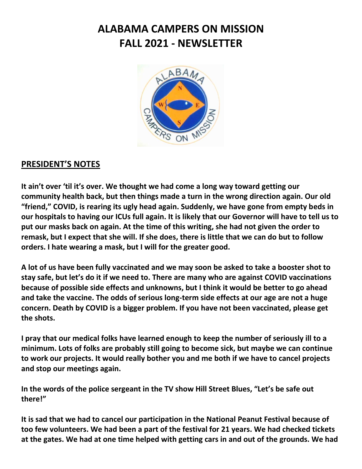## **ALABAMA CAMPERS ON MISSION FALL 2021 - NEWSLETTER**



### **PRESIDENT'S NOTES**

**It ain't over 'til it's over. We thought we had come a long way toward getting our community health back, but then things made a turn in the wrong direction again. Our old "friend," COVID, is rearing its ugly head again. Suddenly, we have gone from empty beds in our hospitals to having our ICUs full again. It is likely that our Governor will have to tell us to put our masks back on again. At the time of this writing, she had not given the order to remask, but I expect that she will. If she does, there is little that we can do but to follow orders. I hate wearing a mask, but I will for the greater good.** 

**A lot of us have been fully vaccinated and we may soon be asked to take a booster shot to stay safe, but let's do it if we need to. There are many who are against COVID vaccinations because of possible side effects and unknowns, but I think it would be better to go ahead and take the vaccine. The odds of serious long-term side effects at our age are not a huge concern. Death by COVID is a bigger problem. If you have not been vaccinated, please get the shots.**

**I pray that our medical folks have learned enough to keep the number of seriously ill to a minimum. Lots of folks are probably still going to become sick, but maybe we can continue to work our projects. It would really bother you and me both if we have to cancel projects and stop our meetings again.**

**In the words of the police sergeant in the TV show Hill Street Blues, "Let's be safe out there!"**

**It is sad that we had to cancel our participation in the National Peanut Festival because of too few volunteers. We had been a part of the festival for 21 years. We had checked tickets at the gates. We had at one time helped with getting cars in and out of the grounds. We had**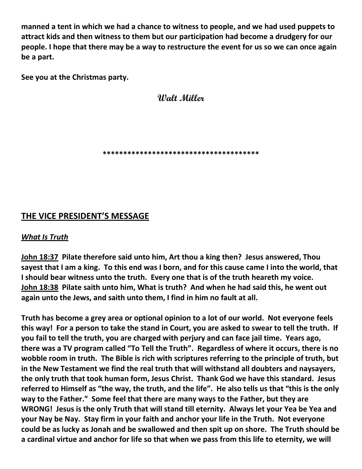**manned a tent in which we had a chance to witness to people, and we had used puppets to attract kids and then witness to them but our participation had become a drudgery for our people. I hope that there may be a way to restructure the event for us so we can once again be a part.**

**See you at the Christmas party.**

**Walt Miller**

**\*\*\*\*\*\*\*\*\*\*\*\*\*\*\*\*\*\*\*\*\*\*\*\*\*\*\*\*\*\*\*\*\*\*\*\*\*\***

#### **THE VICE PRESIDENT'S MESSAGE**

#### *What Is Truth*

**John 18:37 Pilate therefore said unto him, Art thou a king then? Jesus answered, Thou sayest that I am a king. To this end was I born, and for this cause came I into the world, that I should bear witness unto the truth. Every one that is of the truth heareth my voice. John 18:38 Pilate saith unto him, What is truth? And when he had said this, he went out again unto the Jews, and saith unto them, I find in him no fault at all.**

**Truth has become a grey area or optional opinion to a lot of our world. Not everyone feels this way! For a person to take the stand in Court, you are asked to swear to tell the truth. If you fail to tell the truth, you are charged with perjury and can face jail time. Years ago, there was a TV program called "To Tell the Truth". Regardless of where it occurs, there is no wobble room in truth. The Bible is rich with scriptures referring to the principle of truth, but in the New Testament we find the real truth that will withstand all doubters and naysayers, the only truth that took human form, Jesus Christ. Thank God we have this standard. Jesus referred to Himself as "the way, the truth, and the life". He also tells us that "this is the only way to the Father." Some feel that there are many ways to the Father, but they are WRONG! Jesus is the only Truth that will stand till eternity. Always let your Yea be Yea and your Nay be Nay. Stay firm in your faith and anchor your life in the Truth. Not everyone could be as lucky as Jonah and be swallowed and then spit up on shore. The Truth should be a cardinal virtue and anchor for life so that when we pass from this life to eternity, we will**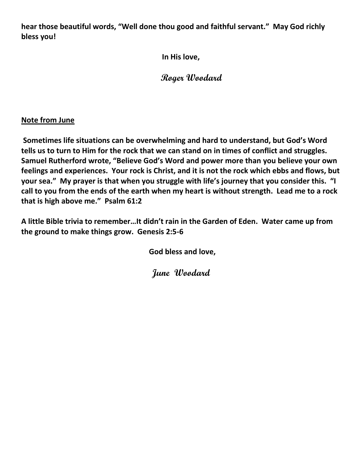**hear those beautiful words, "Well done thou good and faithful servant." May God richly bless you!**

**In His love,**

 **Roger Woodard**

**Note from June**

**Sometimes life situations can be overwhelming and hard to understand, but God's Word tells us to turn to Him for the rock that we can stand on in times of conflict and struggles. Samuel Rutherford wrote, "Believe God's Word and power more than you believe your own feelings and experiences. Your rock is Christ, and it is not the rock which ebbs and flows, but your sea." My prayer is that when you struggle with life's journey that you consider this. "I call to you from the ends of the earth when my heart is without strength. Lead me to a rock that is high above me." Psalm 61:2**

**A little Bible trivia to remember…It didn't rain in the Garden of Eden. Water came up from the ground to make things grow. Genesis 2:5-6**

**God bless and love,**

**June Woodard**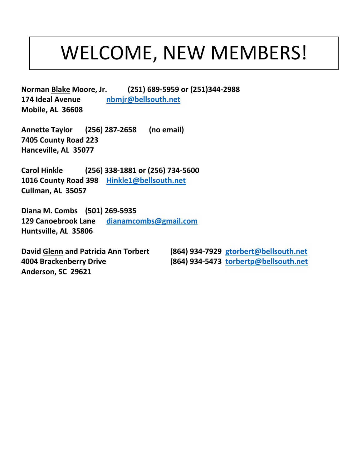# WELCOME, NEW MEMBERS!

**Norman Blake Moore, Jr. (251) 689-5959 or (251)344-2988 174 Ideal Avenue [nbmjr@bellsouth.net](mailto:nbmjr@bellsouth.net) Mobile, AL 36608**

**Annette Taylor (256) 287-2658 (no email) 7405 County Road 223 Hanceville, AL 35077**

**Carol Hinkle (256) 338-1881 or (256) 734-5600 1016 County Road 398 [Hinkle1@bellsouth.net](mailto:Hinkle1@bellsouth.net) Cullman, AL 35057**

**Diana M. Combs (501) 269-5935 129 Canoebrook Lane [dianamcombs@gmail.com](mailto:dianamcombs@gmail.com) Huntsville, AL 35806**

**Anderson, SC 29621**

**David Glenn and Patricia Ann Torbert (864) 934-7929 [gtorbert@bellsouth.net](mailto:gtorbert@bellsouth.net) 4004 Brackenberry Drive (864) 934-5473 [torbertp@bellsouth.net](mailto:torbertp@bellsouth.net)**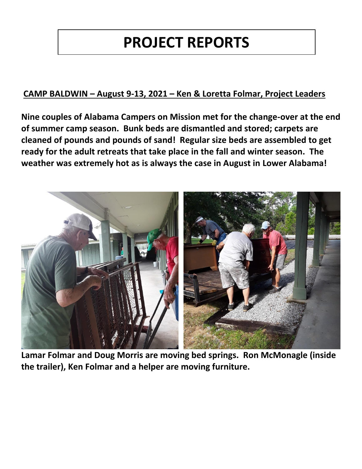## **PROJECT REPORTS**

## **CAMP BALDWIN – August 9-13, 2021 – Ken & Loretta Folmar, Project Leaders**

**Nine couples of Alabama Campers on Mission met for the change-over at the end of summer camp season. Bunk beds are dismantled and stored; carpets are cleaned of pounds and pounds of sand! Regular size beds are assembled to get ready for the adult retreats that take place in the fall and winter season. The weather was extremely hot as is always the case in August in Lower Alabama!**



**Lamar Folmar and Doug Morris are moving bed springs. Ron McMonagle (inside the trailer), Ken Folmar and a helper are moving furniture.**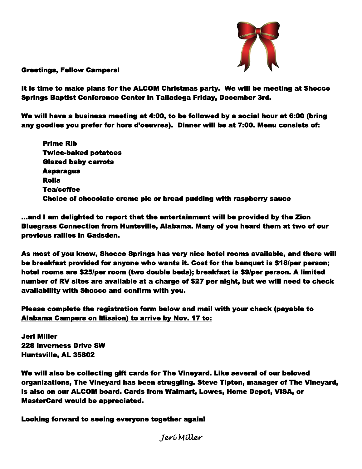

Greetings, Fellow Campers!

It is time to make plans for the ALCOM Christmas party. We will be meeting at Shocco Springs Baptist Conference Center in Talladega Friday, December 3rd.

We will have a business meeting at 4:00, to be followed by a social hour at 6:00 (bring any goodies you prefer for hors d'oeuvres). Dinner will be at 7:00. Menu consists of:

 Prime Rib Twice-baked potatoes Glazed baby carrots Asparagus Rolls Tea/coffee Choice of chocolate creme pie or bread pudding with raspberry sauce

…and I am delighted to report that the entertainment will be provided by the Zion Bluegrass Connection from Huntsville, Alabama. Many of you heard them at two of our previous rallies in Gadsden.

As most of you know, Shocco Springs has very nice hotel rooms available, and there will be breakfast provided for anyone who wants it. Cost for the banquet is \$18/per person; hotel rooms are \$25/per room (two double beds); breakfast is \$9/per person. A limited number of RV sites are available at a charge of \$27 per night, but we will need to check availability with Shocco and confirm with you.

Please complete the registration form below and mail with your check (payable to Alabama Campers on Mission) to arrive by Nov. 17 to:

Jeri Miller 228 Inverness Drive SW Huntsville, AL 35802

We will also be collecting gift cards for The Vineyard. Like several of our beloved organizations, The Vineyard has been struggling. Steve Tipton, manager of The Vineyard, is also on our ALCOM board. Cards from Walmart, Lowes, Home Depot, VISA, or MasterCard would be appreciated.

Looking forward to seeing everyone together again!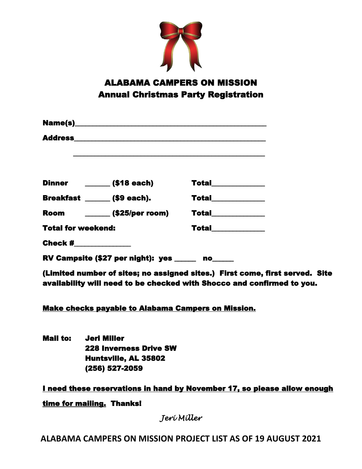

## ALABAMA CAMPERS ON MISSION Annual Christmas Party Registration

|                           | Dinner _______ (\$18 each)                                                                                                                             | <b>Total______________</b> |  |
|---------------------------|--------------------------------------------------------------------------------------------------------------------------------------------------------|----------------------------|--|
|                           | Breakfast ______ (\$9 each).                                                                                                                           | <b>Total_____________</b>  |  |
|                           | <b>Room</b> _______ (\$25/per room) Total____________                                                                                                  |                            |  |
| <b>Total for weekend:</b> |                                                                                                                                                        | <b>Total_____________</b>  |  |
|                           | Check #_____________                                                                                                                                   |                            |  |
|                           | RV Campsite (\$27 per night): yes ______ no_____                                                                                                       |                            |  |
|                           | (Limited number of sites; no assigned sites.) First come, first served. Site<br>availability will need to be checked with Shocco and confirmed to you. |                            |  |
|                           | <u>Make checks payable to Alabama Campers on Mission.</u>                                                                                              |                            |  |
|                           | <b>Mail to: Jeri Miller</b>                                                                                                                            |                            |  |
|                           | 220 Imperiase Brive GW                                                                                                                                 |                            |  |

 228 Inverness Drive SW Huntsville, AL 35802 (256) 527-2059

I need these reservations in hand by November 17, so please allow enough

time for mailing. Thanks!

*Jeri Miller* 

**ALABAMA CAMPERS ON MISSION PROJECT LIST AS OF 19 AUGUST 2021**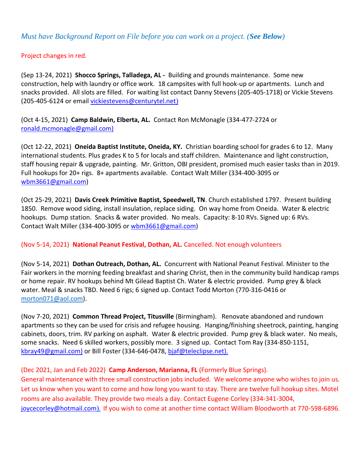*Must have Background Report on File before you can work on a project. (See Below)* 

#### Project changes in red.

(Sep 13-24, 2021) **Shocco Springs, Talladega, AL -** Building and grounds maintenance. Some new construction, help with laundry or office work. 18 campsites with full hook-up or apartments. Lunch and snacks provided. All slots are filled. For waiting list contact Danny Stevens (205-405-1718) or Vickie Stevens (205-405-6124 or email vickiestevens@centurytel.net)

(Oct 4-15, 2021) **Camp Baldwin, Elberta, AL.** Contact Ron McMonagle (334-477-2724 or ronald.mcmonagle@gmail.com)

(Oct 12-22, 2021) **Oneida Baptist Institute, Oneida, KY.** Christian boarding school for grades 6 to 12. Many international students. Plus grades K to 5 for locals and staff children. Maintenance and light construction, staff housing repair & upgrade, painting. Mr. Gritton, OBI president, promised much easier tasks than in 2019. Full hookups for 20+ rigs. 8+ apartments available. Contact Walt Miller (334-400-3095 or wbm3661@gmail.com)

(Oct 25-29, 2021) **Davis Creek Primitive Baptist, Speedwell, TN**. Church established 1797. Present building 1850. Remove wood siding, install insulation, replace siding. On way home from Oneida. Water & electric hookups. Dump station. Snacks & water provided. No meals. Capacity: 8-10 RVs. Signed up: 6 RVs. Contact Walt Miller (334-400-3095 or wbm3661@gmail.com)

#### (Nov 5-14, 2021) **National Peanut Festival, Dothan, AL.** Cancelled. Not enough volunteers

(Nov 5-14, 2021) **Dothan Outreach, Dothan, AL.** Concurrent with National Peanut Festival. Minister to the Fair workers in the morning feeding breakfast and sharing Christ, then in the community build handicap ramps or home repair. RV hookups behind Mt Gilead Baptist Ch. Water & electric provided. Pump grey & black water. Meal & snacks TBD. Need 6 rigs; 6 signed up. Contact Todd Morton (770-316-0416 or [morton071@aol.com\)](mailto:morton071@aol.com).

(Nov 7-20, 2021) **Common Thread Project, Titusville** (Birmingham). Renovate abandoned and rundown apartments so they can be used for crisis and refugee housing. Hanging/finishing sheetrock, painting, hanging cabinets, doors, trim. RV parking on asphalt. Water & electric provided. Pump grey & black water. No meals, some snacks. Need 6 skilled workers, possibly more. 3 signed up. Contact Tom Ray (334-850-1151, kbray49@gmail.com) or Bill Foster (334-646-0478, bjaf@teleclipse.net).

#### (Dec 2021, Jan and Feb 2022) **Camp Anderson, Marianna, FL** (Formerly Blue Springs).

General maintenance with three small construction jobs included. We welcome anyone who wishes to join us. Let us know when you want to come and how long you want to stay. There are twelve full hookup sites. Motel rooms are also available. They provide two meals a day. Contact Eugene Corley (334-341-3004, joycecorley@hotmail.com). If you wish to come at another time contact William Bloodworth at 770-598-6896.